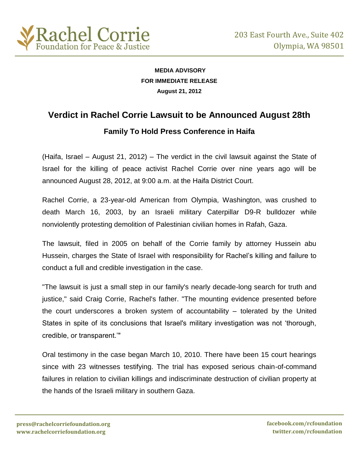

## **MEDIA ADVISORY FOR IMMEDIATE RELEASE August 21, 2012**

# **Verdict in Rachel Corrie Lawsuit to be Announced August 28th**

## **Family To Hold Press Conference in Haifa**

(Haifa, Israel – August 21, 2012) – The verdict in the civil lawsuit against the State of Israel for the killing of peace activist Rachel Corrie over nine years ago will be announced August 28, 2012, at 9:00 a.m. at the Haifa District Court.

Rachel Corrie, a 23-year-old American from Olympia, Washington, was crushed to death March 16, 2003, by an Israeli military Caterpillar D9-R bulldozer while nonviolently protesting demolition of Palestinian civilian homes in Rafah, Gaza.

The lawsuit, filed in 2005 on behalf of the Corrie family by attorney Hussein abu Hussein, charges the State of Israel with responsibility for Rachel's killing and failure to conduct a full and credible investigation in the case.

"The lawsuit is just a small step in our family's nearly decade-long search for truth and justice," said Craig Corrie, Rachel's father. "The mounting evidence presented before the court underscores a broken system of accountability – tolerated by the United States in spite of its conclusions that Israel's military investigation was not 'thorough, credible, or transparent.'"

Oral testimony in the case began March 10, 2010. There have been 15 court hearings since with 23 witnesses testifying. The trial has exposed serious chain-of-command failures in relation to civilian killings and indiscriminate destruction of civilian property at the hands of the Israeli military in southern Gaza.